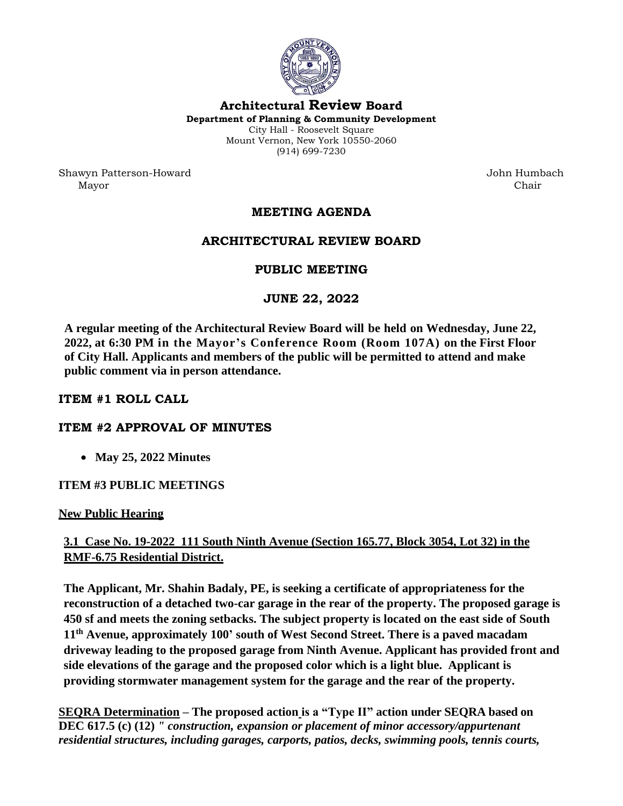

**Architectural Review Board Department of Planning & Community Development** City Hall - Roosevelt Square Mount Vernon, New York 10550-2060 (914) 699-7230

Shawyn Patterson-Howard John Humbach Mayor Chair

# **MEETING AGENDA**

## **ARCHITECTURAL REVIEW BOARD**

## **PUBLIC MEETING**

### **JUNE 22, 2022**

**A regular meeting of the Architectural Review Board will be held on Wednesday, June 22, 2022, at 6:30 PM in the Mayor's Conference Room (Room 107A) on the First Floor of City Hall. Applicants and members of the public will be permitted to attend and make public comment via in person attendance.** 

### **ITEM #1 ROLL CALL**

### **ITEM #2 APPROVAL OF MINUTES**

• **May 25, 2022 Minutes**

### **ITEM #3 PUBLIC MEETINGS**

#### **New Public Hearing**

# **3.1 Case No. 19-2022 111 South Ninth Avenue (Section 165.77, Block 3054, Lot 32) in the RMF-6.75 Residential District.**

**The Applicant, Mr. Shahin Badaly, PE, is seeking a certificate of appropriateness for the reconstruction of a detached two-car garage in the rear of the property. The proposed garage is 450 sf and meets the zoning setbacks. The subject property is located on the east side of South 11th Avenue, approximately 100' south of West Second Street. There is a paved macadam driveway leading to the proposed garage from Ninth Avenue. Applicant has provided front and side elevations of the garage and the proposed color which is a light blue. Applicant is providing stormwater management system for the garage and the rear of the property.**

**SEQRA Determination – The proposed action is a "Type II" action under SEQRA based on DEC 617.5 (c) (12)** *" construction, expansion or placement of minor accessory/appurtenant residential structures, including garages, carports, patios, decks, swimming pools, tennis courts,*